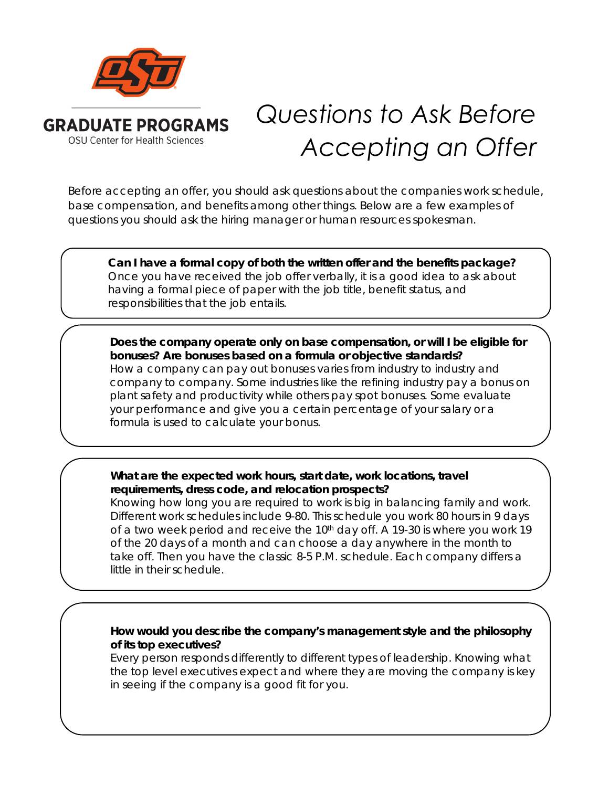

## *Questions to Ask Before Accepting an Offer*

Before accepting an offer, you should ask questions about the companies work schedule, base compensation, and benefits among other things. Below are a few examples of questions you should ask the hiring manager or human resources spokesman.

**Can I have a formal copy of both the written offer and the benefits package?** Once you have received the job offer verbally, it is a good idea to ask about having a formal piece of paper with the job title, benefit status, and responsibilities that the job entails.

**Does the company operate only on base compensation, or will I be eligible for bonuses? Are bonuses based on a formula or objective standards?** How a company can pay out bonuses varies from industry to industry and company to company. Some industries like the refining industry pay a bonus on plant safety and productivity while others pay spot bonuses. Some evaluate your performance and give you a certain percentage of your salary or a formula is used to calculate your bonus.

**What are the expected work hours, start date, work locations, travel requirements, dress code, and relocation prospects?**

Knowing how long you are required to work is big in balancing family and work. Different work schedules include 9-80. This schedule you work 80 hours in 9 days of a two week period and receive the 10<sup>th</sup> day off. A 19-30 is where you work 19 of the 20 days of a month and can choose a day anywhere in the month to take off. Then you have the classic 8-5 P.M. schedule. Each company differs a little in their schedule.

## **How would you describe the company's management style and the philosophy of its top executives?**

Every person responds differently to different types of leadership. Knowing what the top level executives expect and where they are moving the company is key in seeing if the company is a good fit for you.